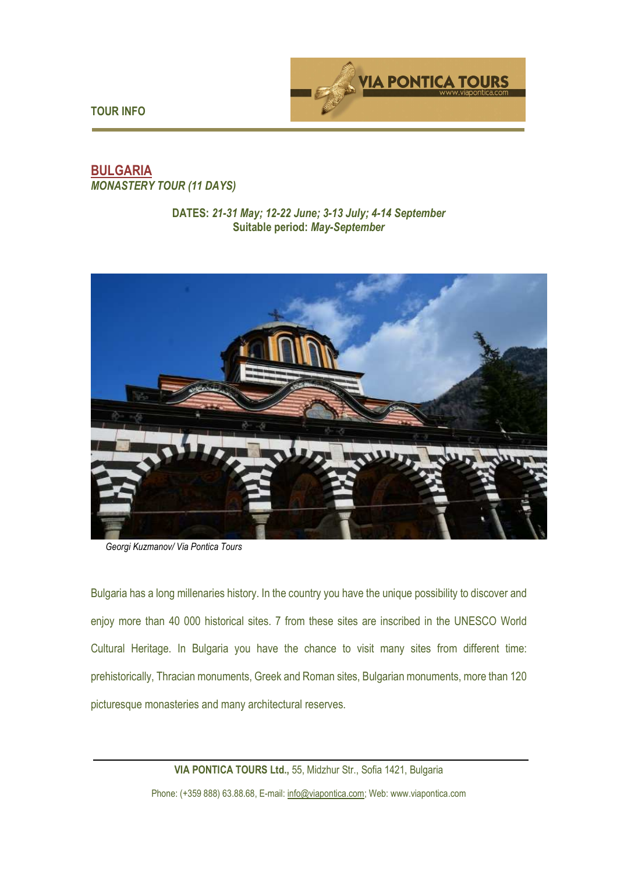

**TOUR INFO** 

# **BULGARIA**  *MONASTERY TOUR (11 DAYS)*

#### **DATES:** *21-31 May; 12-22 June; 3-13 July; 4-14 September*  **Suitable period:** *May-September*



*Georgi Kuzmanov/ Via Pontica Tours*

Bulgaria has a long millenaries history. In the country you have the unique possibility to discover and enjoy more than 40 000 historical sites. 7 from these sites are inscribed in the UNESCO World Cultural Heritage. In Bulgaria you have the chance to visit many sites from different time: prehistorically, Thracian monuments, Greek and Roman sites, Bulgarian monuments, more than 120 picturesque monasteries and many architectural reserves.

> **VIA PONTICA TOURS Ltd.,** 55, Midzhur Str., Sofia 1421, Bulgaria Phone: (+359 888) 63.88.68, E-mail: info@viapontica.com; Web: www.viapontica.com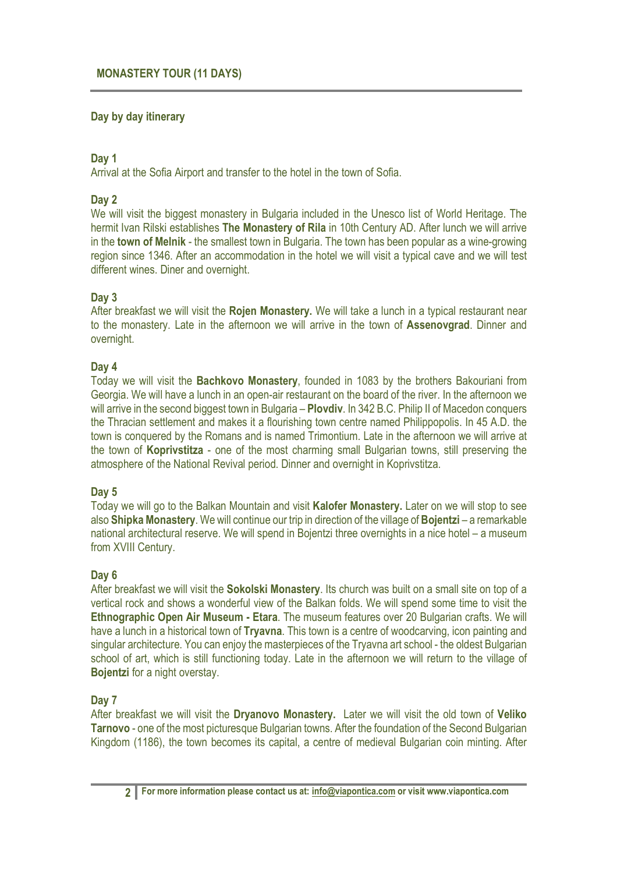## **Day by day itinerary**

### **Day 1**

Arrival at the Sofia Airport and transfer to the hotel in the town of Sofia.

## **Day 2**

We will visit the biggest monastery in Bulgaria included in the Unesco list of World Heritage. The hermit Ivan Rilski establishes **The Monastery of Rila** in 10th Century AD. After lunch we will arrive in the **town of Melnik** - the smallest town in Bulgaria. The town has been popular as a wine-growing region since 1346. After an accommodation in the hotel we will visit a typical cave and we will test different wines. Diner and overnight.

### **Day 3**

After breakfast we will visit the **Rojen Monastery.** We will take a lunch in a typical restaurant near to the monastery. Late in the afternoon we will arrive in the town of **Assenovgrad**. Dinner and overnight.

### **Day 4**

Today we will visit the **Bachkovo Monastery**, founded in 1083 by the brothers Bakouriani from Georgia. We will have a lunch in an open-air restaurant on the board of the river. In the afternoon we will arrive in the second biggest town in Bulgaria – **Plovdiv**. In 342 B.C. Philip II of Macedon conquers the Thracian settlement and makes it a flourishing town centre named Philippopolis. In 45 A.D. the town is conquered by the Romans and is named Trimontium. Late in the afternoon we will arrive at the town of **Koprivstitza** - one of the most charming small Bulgarian towns, still preserving the atmosphere of the National Revival period. Dinner and overnight in Koprivstitza.

### **Day 5**

Today we will go to the Balkan Mountain and visit **Kalofer Monastery.** Later on we will stop to see also **Shipka Monastery**. We will continue our trip in direction of the village of **Bojentzi** – a remarkable national architectural reserve. We will spend in Bojentzi three overnights in a nice hotel – a museum from XVIII Century.

### **Day 6**

After breakfast we will visit the **Sokolski Monastery**. Its church was built on a small site on top of a vertical rock and shows a wonderful view of the Balkan folds. We will spend some time to visit the **Ethnographic Open Air Museum - Etara**. The museum features over 20 Bulgarian crafts. We will have a lunch in a historical town of **Tryavna**. This town is a centre of woodcarving, icon painting and singular architecture. You can enjoy the masterpieces of the Tryavna art school - the oldest Bulgarian school of art, which is still functioning today. Late in the afternoon we will return to the village of **Bojentzi** for a night overstay.

### **Day 7**

After breakfast we will visit the **Dryanovo Monastery.** Later we will visit the old town of **Veliko Tarnovo** - one of the most picturesque Bulgarian towns. After the foundation of the Second Bulgarian Kingdom (1186), the town becomes its capital, a centre of medieval Bulgarian coin minting. After